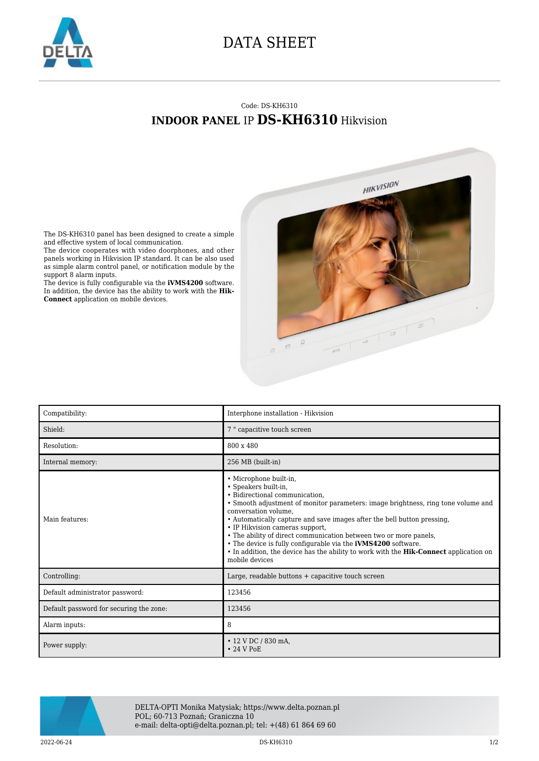

## DATA SHEET

## Code: DS-KH6310 **INDOOR PANEL** IP **DS-KH6310** Hikvision



The DS-KH6310 panel has been designed to create a simple and effective system of local communication.

The device cooperates with video doorphones, and other panels working in Hikvision IP standard. It can be also used as simple alarm control panel, or notification module by the support 8 alarm inputs.

The device is fully configurable via the **iVMS4200** software. In addition, the device has the ability to work with the **Hik-Connect** application on mobile devices.

| Compatibility:                          | Interphone installation - Hikvision                                                                                                                                                                                                                                                                                                                                                                                                                                                                                                                                        |
|-----------------------------------------|----------------------------------------------------------------------------------------------------------------------------------------------------------------------------------------------------------------------------------------------------------------------------------------------------------------------------------------------------------------------------------------------------------------------------------------------------------------------------------------------------------------------------------------------------------------------------|
| Shield:                                 | 7 " capacitive touch screen                                                                                                                                                                                                                                                                                                                                                                                                                                                                                                                                                |
| Resolution:                             | 800 x 480                                                                                                                                                                                                                                                                                                                                                                                                                                                                                                                                                                  |
| Internal memory:                        | 256 MB (built-in)                                                                                                                                                                                                                                                                                                                                                                                                                                                                                                                                                          |
| Main features:                          | • Microphone built-in,<br>• Speakers built-in,<br>• Bidirectional communication.<br>• Smooth adjustment of monitor parameters: image brightness, ring tone volume and<br>conversation volume,<br>• Automatically capture and save images after the bell button pressing,<br>• IP Hikvision cameras support,<br>• The ability of direct communication between two or more panels,<br>• The device is fully configurable via the <b>iVMS4200</b> software.<br>• In addition, the device has the ability to work with the <b>Hik-Connect</b> application on<br>mobile devices |
| Controlling:                            | Large, readable buttons $+$ capacitive touch screen                                                                                                                                                                                                                                                                                                                                                                                                                                                                                                                        |
| Default administrator password:         | 123456                                                                                                                                                                                                                                                                                                                                                                                                                                                                                                                                                                     |
| Default password for securing the zone: | 123456                                                                                                                                                                                                                                                                                                                                                                                                                                                                                                                                                                     |
| Alarm inputs:                           | 8                                                                                                                                                                                                                                                                                                                                                                                                                                                                                                                                                                          |
| Power supply:                           | $\cdot$ 12 V DC / 830 mA,<br>$\cdot$ 24 V PoE                                                                                                                                                                                                                                                                                                                                                                                                                                                                                                                              |



DELTA-OPTI Monika Matysiak; https://www.delta.poznan.pl POL; 60-713 Poznań; Graniczna 10 e-mail: delta-opti@delta.poznan.pl; tel: +(48) 61 864 69 60

2022-06-24 **DS-KH6310 DS-KH6310 DS-KH6310 DS-**